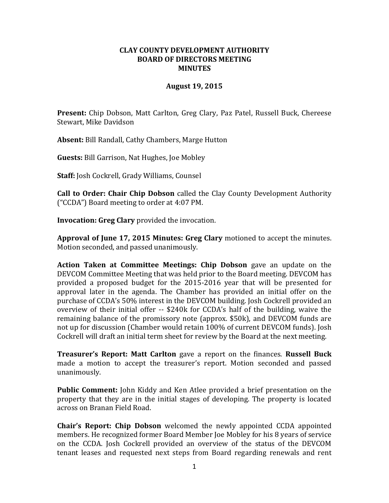## **CLAY COUNTY DEVELOPMENT AUTHORITY BOARD OF DIRECTORS MEETING MINUTES**

## **August 19, 2015**

**Present:** Chip Dobson, Matt Carlton, Greg Clary, Paz Patel, Russell Buck, Chereese Stewart, Mike Davidson

**Absent:** Bill Randall, Cathy Chambers, Marge Hutton

**Guests:** Bill Garrison, Nat Hughes, Joe Mobley

**Staff:** Josh Cockrell, Grady Williams, Counsel

**Call to Order: Chair Chip Dobson** called the Clay County Development Authority ("CCDA") Board meeting to order at 4:07 PM.

**Invocation: Greg Clary** provided the invocation.

**Approval of June 17, 2015 Minutes: Greg Clary** motioned to accept the minutes. Motion seconded, and passed unanimously.

**Action Taken at Committee Meetings: Chip Dobson** gave an update on the DEVCOM Committee Meeting that was held prior to the Board meeting. DEVCOM has provided a proposed budget for the 2015-2016 year that will be presented for approval later in the agenda. The Chamber has provided an initial offer on the purchase of CCDA's 50% interest in the DEVCOM building. Josh Cockrell provided an overview of their initial offer -- \$240k for CCDA's half of the building, waive the remaining balance of the promissory note (approx. \$50k), and DEVCOM funds are not up for discussion (Chamber would retain 100% of current DEVCOM funds). Josh Cockrell will draft an initial term sheet for review by the Board at the next meeting.

**Treasurer's Report: Matt Carlton** gave a report on the finances. **Russell Buck** made a motion to accept the treasurer's report. Motion seconded and passed unanimously.

**Public Comment:** John Kiddy and Ken Atlee provided a brief presentation on the property that they are in the initial stages of developing. The property is located across on Branan Field Road.

**Chair's Report: Chip Dobson** welcomed the newly appointed CCDA appointed members. He recognized former Board Member Joe Mobley for his 8 years of service on the CCDA. Josh Cockrell provided an overview of the status of the DEVCOM tenant leases and requested next steps from Board regarding renewals and rent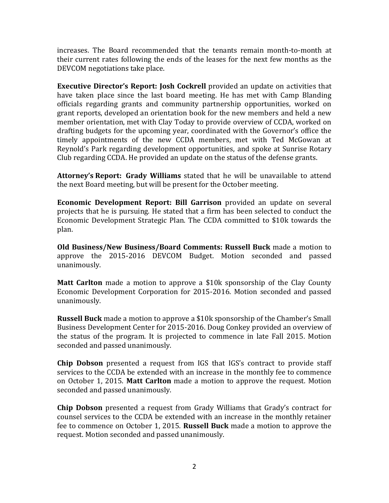increases. The Board recommended that the tenants remain month-to-month at their current rates following the ends of the leases for the next few months as the DEVCOM negotiations take place.

**Executive Director's Report: Josh Cockrell** provided an update on activities that have taken place since the last board meeting. He has met with Camp Blanding officials regarding grants and community partnership opportunities, worked on grant reports, developed an orientation book for the new members and held a new member orientation, met with Clay Today to provide overview of CCDA, worked on drafting budgets for the upcoming year, coordinated with the Governor's office the timely appointments of the new CCDA members, met with Ted McGowan at Reynold's Park regarding development opportunities, and spoke at Sunrise Rotary Club regarding CCDA. He provided an update on the status of the defense grants.

**Attorney's Report: Grady Williams** stated that he will be unavailable to attend the next Board meeting, but will be present for the October meeting.

**Economic Development Report: Bill Garrison** provided an update on several projects that he is pursuing. He stated that a firm has been selected to conduct the Economic Development Strategic Plan. The CCDA committed to \$10k towards the plan.

**Old Business/New Business/Board Comments: Russell Buck** made a motion to approve the 2015-2016 DEVCOM Budget. Motion seconded and passed unanimously.

**Matt Carlton** made a motion to approve a \$10k sponsorship of the Clay County Economic Development Corporation for 2015-2016. Motion seconded and passed unanimously.

**Russell Buck** made a motion to approve a \$10k sponsorship of the Chamber's Small Business Development Center for 2015-2016. Doug Conkey provided an overview of the status of the program. It is projected to commence in late Fall 2015. Motion seconded and passed unanimously.

**Chip Dobson** presented a request from IGS that IGS's contract to provide staff services to the CCDA be extended with an increase in the monthly fee to commence on October 1, 2015. **Matt Carlton** made a motion to approve the request. Motion seconded and passed unanimously.

**Chip Dobson** presented a request from Grady Williams that Grady's contract for counsel services to the CCDA be extended with an increase in the monthly retainer fee to commence on October 1, 2015. **Russell Buck** made a motion to approve the request. Motion seconded and passed unanimously.